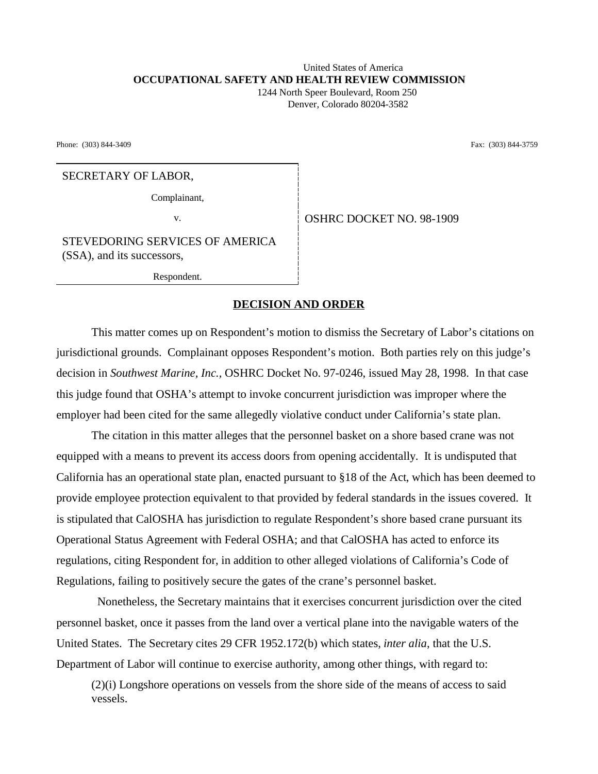## United States of America **OCCUPATIONAL SAFETY AND HEALTH REVIEW COMMISSION**

 1244 North Speer Boulevard, Room 250 Denver, Colorado 80204-3582

Phone: (303) 844-3409 Fax: (303) 844-3759

## SECRETARY OF LABOR,

Complainant,

v. Superior COSHRC DOCKET NO. 98-1909

STEVEDORING SERVICES OF AMERICA (SSA), and its successors,

Respondent.

## **DECISION AND ORDER**

This matter comes up on Respondent's motion to dismiss the Secretary of Labor's citations on jurisdictional grounds. Complainant opposes Respondent's motion. Both parties rely on this judge's decision in *Southwest Marine, Inc.,* OSHRC Docket No. 97-0246, issued May 28, 1998. In that case this judge found that OSHA's attempt to invoke concurrent jurisdiction was improper where the employer had been cited for the same allegedly violative conduct under California's state plan.

The citation in this matter alleges that the personnel basket on a shore based crane was not equipped with a means to prevent its access doors from opening accidentally. It is undisputed that California has an operational state plan, enacted pursuant to §18 of the Act, which has been deemed to provide employee protection equivalent to that provided by federal standards in the issues covered. It is stipulated that CalOSHA has jurisdiction to regulate Respondent's shore based crane pursuant its Operational Status Agreement with Federal OSHA; and that CalOSHA has acted to enforce its regulations, citing Respondent for, in addition to other alleged violations of California's Code of Regulations, failing to positively secure the gates of the crane's personnel basket.

 Nonetheless, the Secretary maintains that it exercises concurrent jurisdiction over the cited personnel basket, once it passes from the land over a vertical plane into the navigable waters of the United States. The Secretary cites 29 CFR 1952.172(b) which states, *inter alia*, that the U.S. Department of Labor will continue to exercise authority, among other things, with regard to:

(2)(i) Longshore operations on vessels from the shore side of the means of access to said vessels.